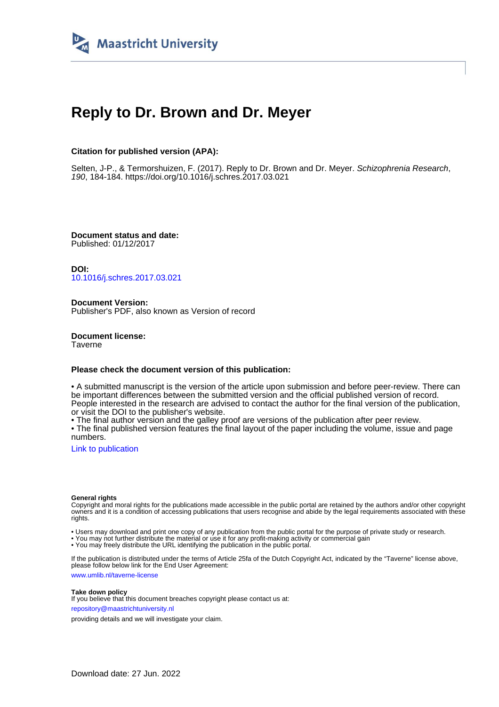

# **Reply to Dr. Brown and Dr. Meyer**

# **Citation for published version (APA):**

Selten, J-P., & Termorshuizen, F. (2017). Reply to Dr. Brown and Dr. Meyer. Schizophrenia Research, 190, 184-184.<https://doi.org/10.1016/j.schres.2017.03.021>

**Document status and date:** Published: 01/12/2017

**DOI:** [10.1016/j.schres.2017.03.021](https://doi.org/10.1016/j.schres.2017.03.021)

**Document Version:** Publisher's PDF, also known as Version of record

**Document license: Taverne** 

# **Please check the document version of this publication:**

• A submitted manuscript is the version of the article upon submission and before peer-review. There can be important differences between the submitted version and the official published version of record. People interested in the research are advised to contact the author for the final version of the publication, or visit the DOI to the publisher's website.

• The final author version and the galley proof are versions of the publication after peer review.

• The final published version features the final layout of the paper including the volume, issue and page numbers.

[Link to publication](https://cris.maastrichtuniversity.nl/en/publications/51fd29aa-1924-4d0e-ba75-e2018e6c5af0)

#### **General rights**

Copyright and moral rights for the publications made accessible in the public portal are retained by the authors and/or other copyright owners and it is a condition of accessing publications that users recognise and abide by the legal requirements associated with these rights.

• Users may download and print one copy of any publication from the public portal for the purpose of private study or research.

• You may not further distribute the material or use it for any profit-making activity or commercial gain

• You may freely distribute the URL identifying the publication in the public portal.

If the publication is distributed under the terms of Article 25fa of the Dutch Copyright Act, indicated by the "Taverne" license above, please follow below link for the End User Agreement:

www.umlib.nl/taverne-license

## **Take down policy**

If you believe that this document breaches copyright please contact us at: repository@maastrichtuniversity.nl

providing details and we will investigate your claim.